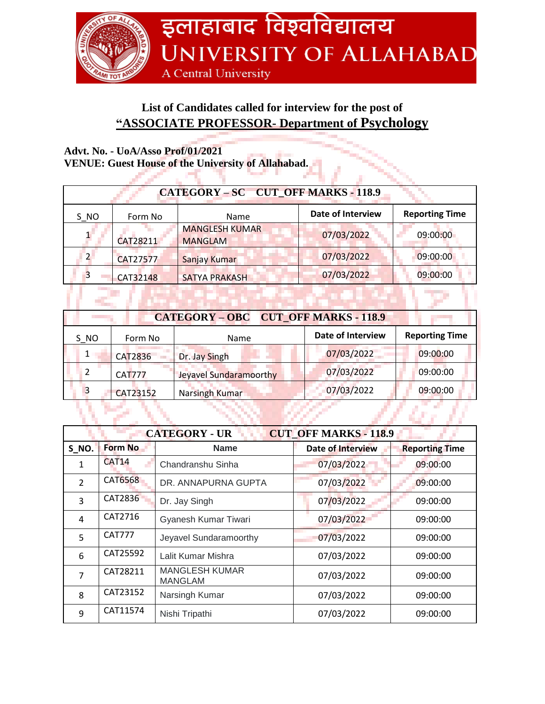

## **List of Candidates called for interview for the post of "ASSOCIATE PROFESSOR- Department of Psychology**

## **Advt. No. - UoA/Asso Prof/01/2021**

**VENUE: Guest House of the University of Allahabad.**

| VERUE, Guest House of the University of Ananapau. |                 |                                         |                          |                       |
|---------------------------------------------------|-----------------|-----------------------------------------|--------------------------|-----------------------|
| CATEGORY - SC CUT_OFF MARKS - 118.9               |                 |                                         |                          |                       |
| S NO                                              | Form No         | Name                                    | <b>Date of Interview</b> | <b>Reporting Time</b> |
|                                                   | CAT28211        | <b>MANGLESH KUMAR</b><br><b>MANGLAM</b> | 07/03/2022               | 09:00:00              |
|                                                   | CAT27577        | Sanjay Kumar                            | 07/03/2022               | 09:00:00              |
| 3                                                 | <b>CAT32148</b> | <b>SATYA PRAKASH</b>                    | 07/03/2022               | 09:00:00              |
|                                                   |                 |                                         |                          |                       |

| CATEGORY - OBC CUT OFF MARKS - 118.9 |               |                        |                          |                       |
|--------------------------------------|---------------|------------------------|--------------------------|-----------------------|
| S NO                                 | Form No       | Name                   | <b>Date of Interview</b> | <b>Reporting Time</b> |
|                                      | CAT2836       | Dr. Jay Singh          | 07/03/2022               | 09:00:00              |
|                                      | <b>CAT777</b> | Jeyavel Sundaramoorthy | 07/03/2022               | 09:00:00              |
| 3                                    | CAT23152      | Narsingh Kumar         | 07/03/2022               | 09:00:00              |
|                                      |               |                        |                          |                       |

| <b>CUT OFF MARKS - 118.9</b><br><b>CATEGORY - UR</b> |                   |                                         |                          |                       |
|------------------------------------------------------|-------------------|-----------------------------------------|--------------------------|-----------------------|
| S NO.                                                | <b>Form No</b>    | <b>Name</b>                             | <b>Date of Interview</b> | <b>Reporting Time</b> |
| 1                                                    | CAT <sub>14</sub> | Chandranshu Sinha                       | 07/03/2022               | 09:00:00              |
| $\overline{2}$                                       | CAT6568           | DR. ANNAPURNA GUPTA                     | 07/03/2022               | 09:00:00              |
| 3                                                    | <b>CAT2836</b>    | Dr. Jay Singh                           | 07/03/2022               | 09:00:00              |
| 4                                                    | CAT2716           | Gyanesh Kumar Tiwari                    | 07/03/2022               | 09:00:00              |
| 5                                                    | <b>CAT777</b>     | Jeyavel Sundaramoorthy                  | 07/03/2022               | 09:00:00              |
| 6                                                    | CAT25592          | Lalit Kumar Mishra                      | 07/03/2022               | 09:00:00              |
| $\overline{7}$                                       | CAT28211          | <b>MANGLESH KUMAR</b><br><b>MANGLAM</b> | 07/03/2022               | 09:00:00              |
| 8                                                    | CAT23152          | Narsingh Kumar                          | 07/03/2022               | 09:00:00              |
| 9                                                    | CAT11574          | Nishi Tripathi                          | 07/03/2022               | 09:00:00              |